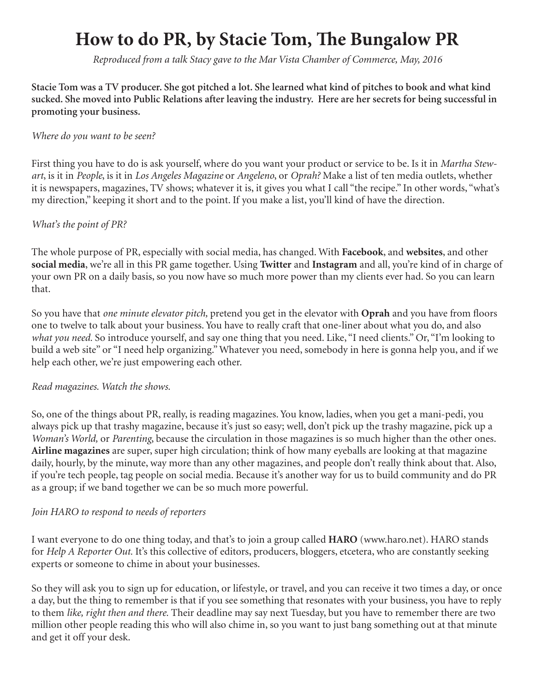# **How to do PR, by Stacie Tom, The Bungalow PR**

*Reproduced from a talk Stacy gave to the Mar Vista Chamber of Commerce, May, 2016*

**Stacie Tom was a TV producer. She got pitched a lot. She learned what kind of pitches to book and what kind sucked. She moved into Public Relations after leaving the industry. Here are her secrets for being successful in promoting your business.**

#### *Where do you want to be seen?*

First thing you have to do is ask yourself, where do you want your product or service to be. Is it in *Martha Stewart*, is it in *People*, is it in *Los Angeles Magazine* or *Angeleno*, or *Oprah?* Make a list of ten media outlets, whether it is newspapers, magazines, TV shows; whatever it is, it gives you what I call "the recipe." In other words, "what's my direction," keeping it short and to the point. If you make a list, you'll kind of have the direction.

#### *What's the point of PR?*

The whole purpose of PR, especially with social media, has changed. With **Facebook**, and **websites**, and other **social media**, we're all in this PR game together. Using **Twitter** and **Instagram** and all, you're kind of in charge of your own PR on a daily basis, so you now have so much more power than my clients ever had. So you can learn that.

So you have that *one minute elevator pitch,* pretend you get in the elevator with **Oprah** and you have from floors one to twelve to talk about your business. You have to really craft that one-liner about what you do, and also *what you need.* So introduce yourself, and say one thing that you need. Like, "I need clients." Or, "I'm looking to build a web site" or "I need help organizing." Whatever you need, somebody in here is gonna help you, and if we help each other, we're just empowering each other.

#### *Read magazines. Watch the shows.*

So, one of the things about PR, really, is reading magazines. You know, ladies, when you get a mani-pedi, you always pick up that trashy magazine, because it's just so easy; well, don't pick up the trashy magazine, pick up a *Woman's World,* or *Parenting*, because the circulation in those magazines is so much higher than the other ones. **Airline magazines** are super, super high circulation; think of how many eyeballs are looking at that magazine daily, hourly, by the minute, way more than any other magazines, and people don't really think about that. Also, if you're tech people, tag people on social media. Because it's another way for us to build community and do PR as a group; if we band together we can be so much more powerful.

#### *Join HARO to respond to needs of reporters*

I want everyone to do one thing today, and that's to join a group called **HARO** (www.haro.net). HARO stands for *Help A Reporter Out.* It's this collective of editors, producers, bloggers, etcetera, who are constantly seeking experts or someone to chime in about your businesses.

So they will ask you to sign up for education, or lifestyle, or travel, and you can receive it two times a day, or once a day, but the thing to remember is that if you see something that resonates with your business, you have to reply to them *like, right then and there.* Their deadline may say next Tuesday, but you have to remember there are two million other people reading this who will also chime in, so you want to just bang something out at that minute and get it off your desk.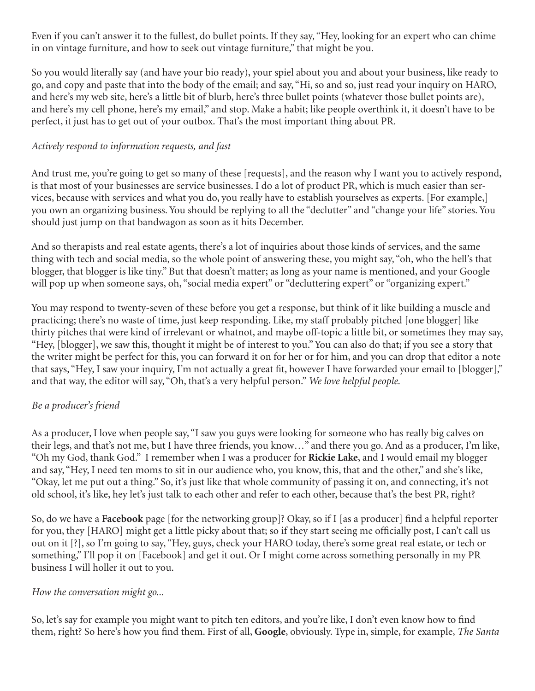Even if you can't answer it to the fullest, do bullet points. If they say, "Hey, looking for an expert who can chime in on vintage furniture, and how to seek out vintage furniture," that might be you.

So you would literally say (and have your bio ready), your spiel about you and about your business, like ready to go, and copy and paste that into the body of the email; and say, "Hi, so and so, just read your inquiry on HARO, and here's my web site, here's a little bit of blurb, here's three bullet points (whatever those bullet points are), and here's my cell phone, here's my email," and stop. Make a habit; like people overthink it, it doesn't have to be perfect, it just has to get out of your outbox. That's the most important thing about PR.

# *Actively respond to information requests, and fast*

And trust me, you're going to get so many of these [requests], and the reason why I want you to actively respond, is that most of your businesses are service businesses. I do a lot of product PR, which is much easier than services, because with services and what you do, you really have to establish yourselves as experts. [For example,] you own an organizing business. You should be replying to all the "declutter" and "change your life" stories. You should just jump on that bandwagon as soon as it hits December.

And so therapists and real estate agents, there's a lot of inquiries about those kinds of services, and the same thing with tech and social media, so the whole point of answering these, you might say, "oh, who the hell's that blogger, that blogger is like tiny." But that doesn't matter; as long as your name is mentioned, and your Google will pop up when someone says, oh, "social media expert" or "decluttering expert" or "organizing expert."

You may respond to twenty-seven of these before you get a response, but think of it like building a muscle and practicing; there's no waste of time, just keep responding. Like, my staff probably pitched [one blogger] like thirty pitches that were kind of irrelevant or whatnot, and maybe off-topic a little bit, or sometimes they may say, "Hey, [blogger], we saw this, thought it might be of interest to you." You can also do that; if you see a story that the writer might be perfect for this, you can forward it on for her or for him, and you can drop that editor a note that says, "Hey, I saw your inquiry, I'm not actually a great fit, however I have forwarded your email to [blogger]," and that way, the editor will say, "Oh, that's a very helpful person." *We love helpful people.* 

#### *Be a producer's friend*

As a producer, I love when people say, "I saw you guys were looking for someone who has really big calves on their legs, and that's not me, but I have three friends, you know…" and there you go. And as a producer, I'm like, "Oh my God, thank God." I remember when I was a producer for **Rickie Lake**, and I would email my blogger and say, "Hey, I need ten moms to sit in our audience who, you know, this, that and the other," and she's like, "Okay, let me put out a thing." So, it's just like that whole community of passing it on, and connecting, it's not old school, it's like, hey let's just talk to each other and refer to each other, because that's the best PR, right?

So, do we have a **Facebook** page [for the networking group]? Okay, so if I [as a producer] find a helpful reporter for you, they [HARO] might get a little picky about that; so if they start seeing me officially post, I can't call us out on it [?], so I'm going to say, "Hey, guys, check your HARO today, there's some great real estate, or tech or something," I'll pop it on [Facebook] and get it out. Or I might come across something personally in my PR business I will holler it out to you.

#### *How the conversation might go...*

So, let's say for example you might want to pitch ten editors, and you're like, I don't even know how to find them, right? So here's how you find them. First of all, **Google**, obviously. Type in, simple, for example, *The Santa*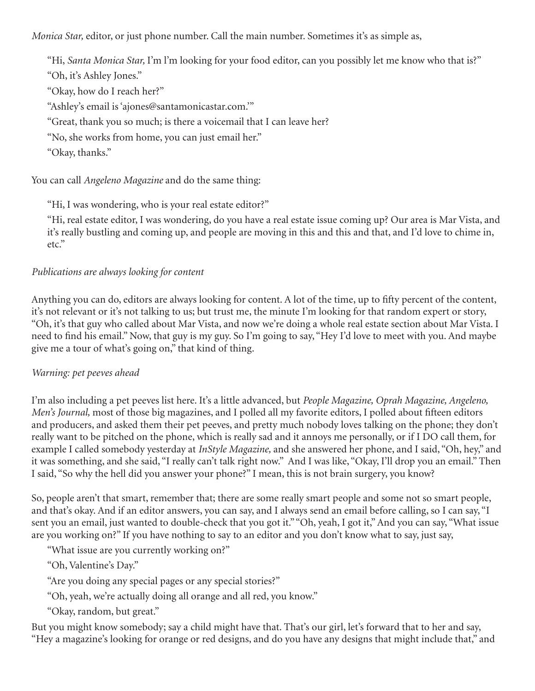*Monica Star,* editor, or just phone number. Call the main number. Sometimes it's as simple as,

"Hi, *Santa Monica Star,* I'm l'm looking for your food editor, can you possibly let me know who that is?"

"Oh, it's Ashley Jones."

"Okay, how do I reach her?"

"Ashley's email is 'ajones@santamonicastar.com.'"

"Great, thank you so much; is there a voicemail that I can leave her?

"No, she works from home, you can just email her."

"Okay, thanks."

You can call *Angeleno Magazine* and do the same thing:

"Hi, I was wondering, who is your real estate editor?"

"Hi, real estate editor, I was wondering, do you have a real estate issue coming up? Our area is Mar Vista, and it's really bustling and coming up, and people are moving in this and this and that, and I'd love to chime in, etc."

# *Publications are always looking for content*

Anything you can do, editors are always looking for content. A lot of the time, up to fifty percent of the content, it's not relevant or it's not talking to us; but trust me, the minute I'm looking for that random expert or story, "Oh, it's that guy who called about Mar Vista, and now we're doing a whole real estate section about Mar Vista. I need to find his email." Now, that guy is my guy. So I'm going to say, "Hey I'd love to meet with you. And maybe give me a tour of what's going on," that kind of thing.

# *Warning: pet peeves ahead*

I'm also including a pet peeves list here. It's a little advanced, but *People Magazine, Oprah Magazine, Angeleno, Men's Journal,* most of those big magazines, and I polled all my favorite editors, I polled about fifteen editors and producers, and asked them their pet peeves, and pretty much nobody loves talking on the phone; they don't really want to be pitched on the phone, which is really sad and it annoys me personally, or if I DO call them, for example I called somebody yesterday at *InStyle Magazine,* and she answered her phone, and I said, "Oh, hey," and it was something, and she said, "I really can't talk right now." And I was like, "Okay, I'll drop you an email." Then I said, "So why the hell did you answer your phone?" I mean, this is not brain surgery, you know?

So, people aren't that smart, remember that; there are some really smart people and some not so smart people, and that's okay. And if an editor answers, you can say, and I always send an email before calling, so I can say, "I sent you an email, just wanted to double-check that you got it." "Oh, yeah, I got it," And you can say, "What issue are you working on?" If you have nothing to say to an editor and you don't know what to say, just say,

"What issue are you currently working on?"

"Oh, Valentine's Day."

"Are you doing any special pages or any special stories?"

"Oh, yeah, we're actually doing all orange and all red, you know."

"Okay, random, but great."

But you might know somebody; say a child might have that. That's our girl, let's forward that to her and say, "Hey a magazine's looking for orange or red designs, and do you have any designs that might include that," and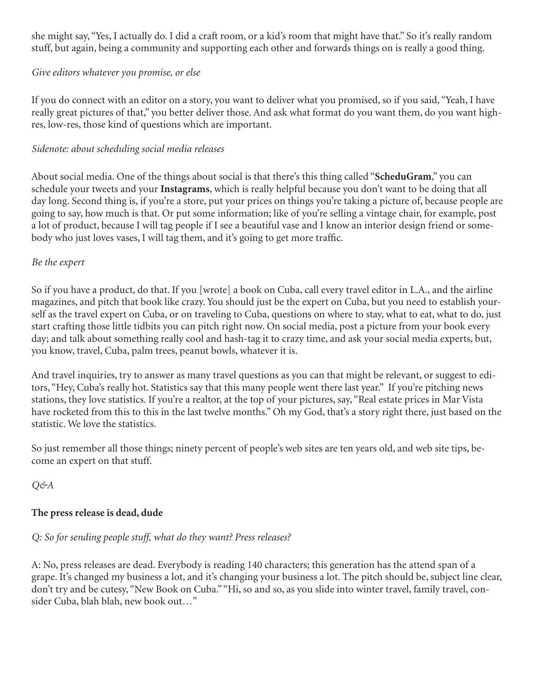she might say, "Yes, I actually do. I did a craft room, or a kid's room that might have that." So it's really random stuff, but again, being a community and supporting each other and forwards things on is really a good thing.

### *Give editors whatever you promise, or else*

If you do connect with an editor on a story, you want to deliver what you promised, so if you said, "Yeah, I have really great pictures of that," you better deliver those. And ask what format do you want them, do you want highres, low-res, those kind of questions which are important.

### *Sidenote: about scheduling social media releases*

About social media. One of the things about social is that there's this thing called "**ScheduGram**," you can schedule your tweets and your **Instagrams**, which is really helpful because you don't want to be doing that all day long. Second thing is, if you're a store, put your prices on things you're taking a picture of, because people are going to say, how much is that. Or put some information; like of you're selling a vintage chair, for example, post a lot of product, because I will tag people if I see a beautiful vase and I know an interior design friend or somebody who just loves vases, I will tag them, and it's going to get more traffic.

#### *Be the expert*

So if you have a product, do that. If you [wrote] a book on Cuba, call every travel editor in L.A., and the airline magazines, and pitch that book like crazy. You should just be the expert on Cuba, but you need to establish yourself as the travel expert on Cuba, or on traveling to Cuba, questions on where to stay, what to eat, what to do, just start crafting those little tidbits you can pitch right now. On social media, post a picture from your book every day; and talk about something really cool and hash-tag it to crazy time, and ask your social media experts, but, you know, travel, Cuba, palm trees, peanut bowls, whatever it is.

And travel inquiries, try to answer as many travel questions as you can that might be relevant, or suggest to editors, "Hey, Cuba's really hot. Statistics say that this many people went there last year." If you're pitching news stations, they love statistics. If you're a realtor, at the top of your pictures, say, "Real estate prices in Mar Vista have rocketed from this to this in the last twelve months." Oh my God, that's a story right there, just based on the statistic. We love the statistics.

So just remember all those things; ninety percent of people's web sites are ten years old, and web site tips, become an expert on that stuff.

*Q&A*

# **The press release is dead, dude**

# *Q: So for sending people stuff, what do they want? Press releases?*

A: No, press releases are dead. Everybody is reading 140 characters; this generation has the attend span of a grape. It's changed my business a lot, and it's changing your business a lot. The pitch should be, subject line clear, don't try and be cutesy, "New Book on Cuba." "Hi, so and so, as you slide into winter travel, family travel, consider Cuba, blah blah, new book out…"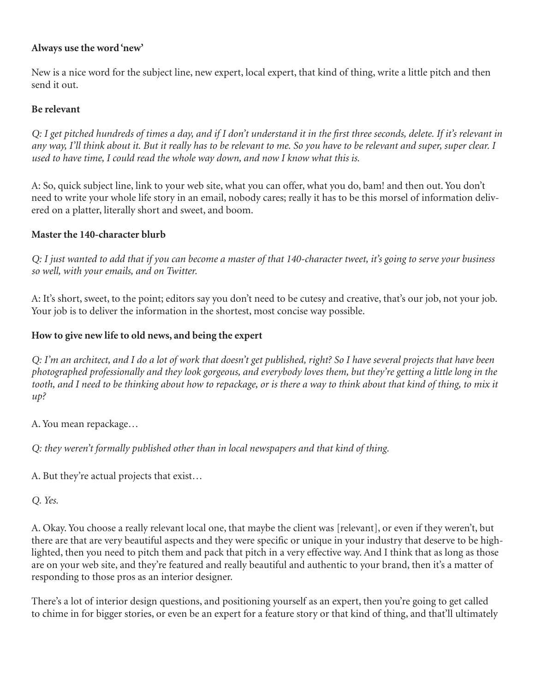#### **Always use the word 'new'**

New is a nice word for the subject line, new expert, local expert, that kind of thing, write a little pitch and then send it out.

#### **Be relevant**

*Q: I get pitched hundreds of times a day, and if I don't understand it in the first three seconds, delete. If it's relevant in any way, I'll think about it. But it really has to be relevant to me. So you have to be relevant and super, super clear. I*  used to have time, I could read the whole way down, and now I know what this is.

A: So, quick subject line, link to your web site, what you can offer, what you do, bam! and then out. You don't need to write your whole life story in an email, nobody cares; really it has to be this morsel of information delivered on a platter, literally short and sweet, and boom.

#### **Master the 140-character blurb**

*Q: I just wanted to add that if you can become a master of that 140-character tweet, it's going to serve your business so well, with your emails, and on Twitter.*

A: It's short, sweet, to the point; editors say you don't need to be cutesy and creative, that's our job, not your job. Your job is to deliver the information in the shortest, most concise way possible.

#### **How to give new life to old news, and being the expert**

*Q: I'm an architect, and I do a lot of work that doesn't get published, right? So I have several projects that have been photographed professionally and they look gorgeous, and everybody loves them, but they're getting a little long in the*  tooth, and I need to be thinking about how to repackage, or is there a way to think about that kind of thing, to mix it *up?*

A. You mean repackage…

*Q: they weren't formally published other than in local newspapers and that kind of thing.*

A. But they're actual projects that exist…

*Q. Yes.*

A. Okay. You choose a really relevant local one, that maybe the client was [relevant], or even if they weren't, but there are that are very beautiful aspects and they were specific or unique in your industry that deserve to be highlighted, then you need to pitch them and pack that pitch in a very effective way. And I think that as long as those are on your web site, and they're featured and really beautiful and authentic to your brand, then it's a matter of responding to those pros as an interior designer.

There's a lot of interior design questions, and positioning yourself as an expert, then you're going to get called to chime in for bigger stories, or even be an expert for a feature story or that kind of thing, and that'll ultimately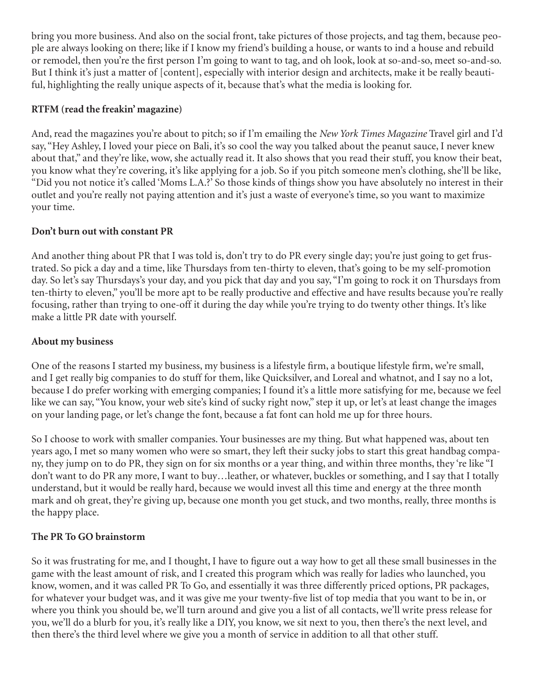bring you more business. And also on the social front, take pictures of those projects, and tag them, because people are always looking on there; like if I know my friend's building a house, or wants to ind a house and rebuild or remodel, then you're the first person I'm going to want to tag, and oh look, look at so-and-so, meet so-and-so. But I think it's just a matter of [content], especially with interior design and architects, make it be really beautiful, highlighting the really unique aspects of it, because that's what the media is looking for.

#### **RTFM (read the freakin' magazine)**

And, read the magazines you're about to pitch; so if I'm emailing the *New York Times Magazine* Travel girl and I'd say, "Hey Ashley, I loved your piece on Bali, it's so cool the way you talked about the peanut sauce, I never knew about that," and they're like, wow, she actually read it. It also shows that you read their stuff, you know their beat, you know what they're covering, it's like applying for a job. So if you pitch someone men's clothing, she'll be like, "Did you not notice it's called 'Moms L.A.?' So those kinds of things show you have absolutely no interest in their outlet and you're really not paying attention and it's just a waste of everyone's time, so you want to maximize your time.

#### **Don't burn out with constant PR**

And another thing about PR that I was told is, don't try to do PR every single day; you're just going to get frustrated. So pick a day and a time, like Thursdays from ten-thirty to eleven, that's going to be my self-promotion day. So let's say Thursdays's your day, and you pick that day and you say, "I'm going to rock it on Thursdays from ten-thirty to eleven," you'll be more apt to be really productive and effective and have results because you're really focusing, rather than trying to one-off it during the day while you're trying to do twenty other things. It's like make a little PR date with yourself.

#### **About my business**

One of the reasons I started my business, my business is a lifestyle firm, a boutique lifestyle firm, we're small, and I get really big companies to do stuff for them, like Quicksilver, and Loreal and whatnot, and I say no a lot, because I do prefer working with emerging companies; I found it's a little more satisfying for me, because we feel like we can say, "You know, your web site's kind of sucky right now," step it up, or let's at least change the images on your landing page, or let's change the font, because a fat font can hold me up for three hours.

So I choose to work with smaller companies. Your businesses are my thing. But what happened was, about ten years ago, I met so many women who were so smart, they left their sucky jobs to start this great handbag company, they jump on to do PR, they sign on for six months or a year thing, and within three months, they 're like "I don't want to do PR any more, I want to buy…leather, or whatever, buckles or something, and I say that I totally understand, but it would be really hard, because we would invest all this time and energy at the three month mark and oh great, they're giving up, because one month you get stuck, and two months, really, three months is the happy place.

#### **The PR To GO brainstorm**

So it was frustrating for me, and I thought, I have to figure out a way how to get all these small businesses in the game with the least amount of risk, and I created this program which was really for ladies who launched, you know, women, and it was called PR To Go, and essentially it was three differently priced options, PR packages, for whatever your budget was, and it was give me your twenty-five list of top media that you want to be in, or where you think you should be, we'll turn around and give you a list of all contacts, we'll write press release for you, we'll do a blurb for you, it's really like a DIY, you know, we sit next to you, then there's the next level, and then there's the third level where we give you a month of service in addition to all that other stuff.